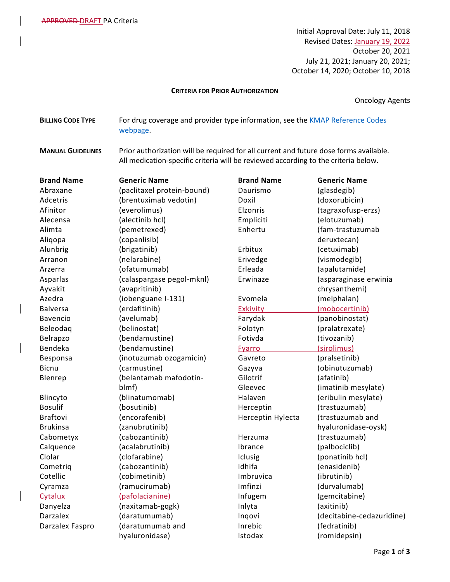Initial Approval Date: July 11, 2018 Revised Dates: January 19, 2022 October 20, 2021 July 21, 2021; January 20, 2021; October 14, 2020; October 10, 2018

## **CRITERIA FOR PRIOR AUTHORIZATION**

Oncology Agents

**BILLING CODE TYPE** For drug coverage and provider type information, see the **KMAP Reference Codes** [webpage.](https://www.kmap-state-ks.us/Provider/PRICING/RefCode.asp)

**MANUAL GUIDELINES** Prior authorization will be required for all current and future dose forms available. All medication-specific criteria will be reviewed according to the criteria below.

| <b>Brand Name</b> | <b>Generic Name</b>        | <b>Brand Name</b> | <b>Generic Name</b>       |
|-------------------|----------------------------|-------------------|---------------------------|
| Abraxane          | (paclitaxel protein-bound) | Daurismo          | (glasdegib)               |
| Adcetris          | (brentuximab vedotin)      | Doxil             | (doxorubicin)             |
| Afinitor          | (everolimus)               | Elzonris          | (tagraxofusp-erzs)        |
| Alecensa          | (alectinib hcl)            | Empliciti         | (elotuzumab)              |
| Alimta            | (pemetrexed)               | Enhertu           | (fam-trastuzumab          |
| Aliqopa           | (copanlisib)               |                   | deruxtecan)               |
| Alunbrig          | (brigatinib)               | Erbitux           | (cetuximab)               |
| Arranon           | (nelarabine)               | Erivedge          | (vismodegib)              |
| Arzerra           | (ofatumumab)               | Erleada           | (apalutamide)             |
| Asparlas          | (calaspargase pegol-mknl)  | Erwinaze          | (asparaginase erwinia     |
| Ayvakit           | (avapritinib)              |                   | chrysanthemi)             |
| Azedra            | (iobenguane I-131)         | Evomela           | (melphalan)               |
| <b>Balversa</b>   | (erdafitinib)              | <b>Exkivity</b>   | (mobocertinib)            |
| Bavencio          | (avelumab)                 | Farydak           | (panobinostat)            |
| Beleodaq          | (belinostat)               | Folotyn           | (pralatrexate)            |
| Belrapzo          | (bendamustine)             | Fotivda           | (tivozanib)               |
| Bendeka           | (bendamustine)             | Fyarro            | (sirolimus)               |
| Besponsa          | (inotuzumab ozogamicin)    | Gavreto           | (pralsetinib)             |
| <b>Bicnu</b>      | (carmustine)               | Gazyva            | (obinutuzumab)            |
| Blenrep           | (belantamab mafodotin-     | Gilotrif          | (afatinib)                |
|                   | blmf)                      | Gleevec           | (imatinib mesylate)       |
| Blincyto          | (blinatumomab)             | Halaven           | (eribulin mesylate)       |
| <b>Bosulif</b>    | (bosutinib)                | Herceptin         | (trastuzumab)             |
| Braftovi          | (encorafenib)              | Herceptin Hylecta | (trastuzumab and          |
| <b>Brukinsa</b>   | (zanubrutinib)             |                   | hyaluronidase-oysk)       |
| Cabometyx         | (cabozantinib)             | Herzuma           | (trastuzumab)             |
| Calquence         | (acalabrutinib)            | Ibrance           | (palbociclib)             |
| Clolar            | (clofarabine)              | Iclusig           | (ponatinib hcl)           |
| Cometriq          | (cabozantinib)             | Idhifa            | (enasidenib)              |
| Cotellic          | (cobimetinib)              | Imbruvica         | (ibrutinib)               |
| Cyramza           | (ramucirumab)              | Imfinzi           | (durvalumab)              |
| Cytalux           | (pafolacianine)            | Infugem           | (gemcitabine)             |
| Danyelza          | (naxitamab-gqgk)           | Inlyta            | (axitinib)                |
| <b>Darzalex</b>   | (daratumumab)              | Inqovi            | (decitabine-cedazuridine) |
| Darzalex Faspro   | (daratumumab and           | Inrebic           | (fedratinib)              |
|                   | hyaluronidase)             | Istodax           | (romidepsin)              |
|                   |                            |                   |                           |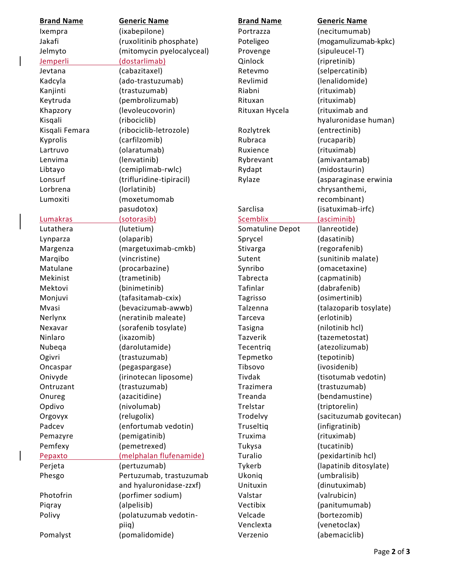| <b>Brand Name</b> | <b>Generic Name</b>       | <b>Brand Name</b> | <b>Generic Name</b>     |
|-------------------|---------------------------|-------------------|-------------------------|
| Ixempra           | (ixabepilone)             | Portrazza         | (necitumumab)           |
| Jakafi            | (ruxolitinib phosphate)   | Poteligeo         | (mogamulizumab-kpkc)    |
| Jelmyto           | (mitomycin pyelocalyceal) | Provenge          | (sipuleucel-T)          |
| <b>Jemperli</b>   | (dostarlimab)             | Qinlock           | (ripretinib)            |
| Jevtana           | (cabazitaxel)             | Retevmo           | (selpercatinib)         |
| Kadcyla           | (ado-trastuzumab)         | Revlimid          | (lenalidomide)          |
| Kanjinti          | (trastuzumab)             | Riabni            | (rituximab)             |
| Keytruda          | (pembrolizumab)           | Rituxan           | (rituximab)             |
| Khapzory          | (levoleucovorin)          | Rituxan Hycela    | (rituximab and          |
| Kisqali           | (ribociclib)              |                   | hyaluronidase human)    |
| Kisqali Femara    | (ribociclib-letrozole)    | Rozlytrek         | (entrectinib)           |
| Kyprolis          | (carfilzomib)             | Rubraca           | (rucaparib)             |
| Lartruvo          | (olaratumab)              | Ruxience          | (rituximab)             |
| Lenvima           | (lenvatinib)              | Rybrevant         | (amivantamab)           |
| Libtayo           | (cemiplimab-rwlc)         | Rydapt            | (midostaurin)           |
| Lonsurf           | (trifluridine-tipiracil)  | Rylaze            | (asparaginase erwinia   |
| Lorbrena          | (lorlatinib)              |                   | chrysanthemi,           |
| Lumoxiti          | (moxetumomab              |                   | recombinant)            |
|                   | pasudotox)                | Sarclisa          | (isatuximab-irfc)       |
| Lumakras          | (sotorasib)               | <b>Scemblix</b>   | (asciminib)             |
| Lutathera         | (lutetium)                | Somatuline Depot  | (lanreotide)            |
| Lynparza          | (olaparib)                | Sprycel           | (dasatinib)             |
| Margenza          | (margetuximab-cmkb)       | Stivarga          | (regorafenib)           |
| Marqibo           | (vincristine)             | Sutent            | (sunitinib malate)      |
| Matulane          | (procarbazine)            | Synribo           | (omacetaxine)           |
| Mekinist          | (trametinib)              | Tabrecta          | (capmatinib)            |
| Mektovi           | (binimetinib)             | Tafinlar          | (dabrafenib)            |
| Monjuvi           | (tafasitamab-cxix)        | Tagrisso          | (osimertinib)           |
| Mvasi             | (bevacizumab-awwb)        | Talzenna          | (talazoparib tosylate)  |
| Nerlynx           | (neratinib maleate)       | Tarceva           | (erlotinib)             |
| Nexavar           | (sorafenib tosylate)      | <b>Tasigna</b>    | (nilotinib hcl)         |
| Ninlaro           | (ixazomib)                | Tazverik          | (tazemetostat)          |
| Nubeqa            | (darolutamide)            | Tecentriq         | (atezolizumab)          |
| Ogivri            | (trastuzumab)             | Tepmetko          | (tepotinib)             |
| Oncaspar          | (pegaspargase)            | Tibsovo           | (ivosidenib)            |
| Onivyde           | (irinotecan liposome)     | Tivdak            | (tisotumab vedotin)     |
| Ontruzant         | (trastuzumab)             | Trazimera         | (trastuzumab)           |
| Onureg            | (azacitidine)             | Treanda           | (bendamustine)          |
| Opdivo            | (nivolumab)               | Trelstar          | (triptorelin)           |
| Orgovyx           | (relugolix)               | Trodelvy          | (sacituzumab govitecan) |
| Padcev            | (enfortumab vedotin)      | Truseltig         | (infigratinib)          |
| Pemazyre          | (pemigatinib)             | Truxima           | (rituximab)             |
| Pemfexy           | (pemetrexed)              | Tukysa            | (tucatinib)             |
| Pepaxto           | (melphalan flufenamide)   | Turalio           | (pexidartinib hcl)      |
| Perjeta           | (pertuzumab)              | Tykerb            | (lapatinib ditosylate)  |
| Phesgo            | Pertuzumab, trastuzumab   | Ukoniq            | (umbralisib)            |
|                   | and hyaluronidase-zzxf)   | Unituxin          | (dinutuximab)           |
| Photofrin         | (porfimer sodium)         | Valstar           | (valrubicin)            |
| Piqray            | (alpelisib)               | Vectibix          | (panitumumab)           |
| Polivy            | (polatuzumab vedotin-     | Velcade           | (bortezomib)            |
|                   | piiq)                     | Venclexta         | (venetoclax)            |
| Pomalyst          | (pomalidomide)            | Verzenio          | (abemaciclib)           |

 $\overline{\phantom{a}}$ 

 $\overline{\phantom{a}}$